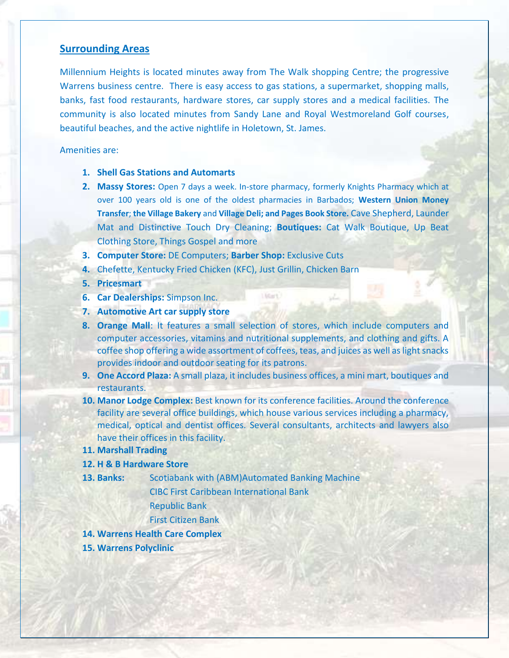## **Surrounding Areas**

Millennium Heights is located minutes away from The Walk shopping Centre; the progressive Warrens business centre. There is easy access to gas stations, a supermarket, shopping malls, banks, fast food restaurants, hardware stores, car supply stores and a medical facilities. The community is also located minutes from Sandy Lane and Royal Westmoreland Golf courses, beautiful beaches, and the active nightlife in Holetown, St. James.

#### Amenities are:

- **1. Shell Gas Stations and Automarts**
- **2. Massy Stores:** Open 7 days a week. In-store pharmacy, formerly Knights Pharmacy which at over 100 years old is one of the oldest pharmacies in Barbados; **Western Union Money Transfer**; **the Village Bakery** and **Village Deli; and Pages Book Store.** Cave Shepherd, Launder Mat and Distinctive Touch Dry Cleaning; **Boutiques:** Cat Walk Boutique, Up Beat Clothing Store, Things Gospel and more
- **3. Computer Store:** DE Computers; **Barber Shop:** Exclusive Cuts
- **4.** Chefette, Kentucky Fried Chicken (KFC), Just Grillin, Chicken Barn
- **5. Pricesmart**
- **6. Car Dealerships:** Simpson Inc.
- **7. Automotive Art car supply store**
- **8. Orange Mall**: It features a small selection of stores, which include computers and computer accessories, vitamins and nutritional supplements, and clothing and gifts. A coffee shop offering a wide assortment of coffees, teas, and juices as well as light snacks provides indoor and outdoor seating for its patrons.

Lidert)

- **9. One Accord Plaza:** A small plaza, it includes business offices, a mini mart, boutiques and restaurants.
- **10. Manor Lodge Complex:** Best known for its conference facilities. Around the conference facility are several office buildings, which house various services including a pharmacy, medical, optical and dentist offices. Several consultants, architects and lawyers also have their offices in this facility.

#### **11. Marshall Trading**

#### **12. H & B Hardware Store**

**13. Banks:** Scotiabank with (ABM)Automated Banking Machine

CIBC First Caribbean International Bank

Republic Bank

First Citizen Bank

- **14. Warrens Health Care Complex**
- **15. Warrens Polyclinic**